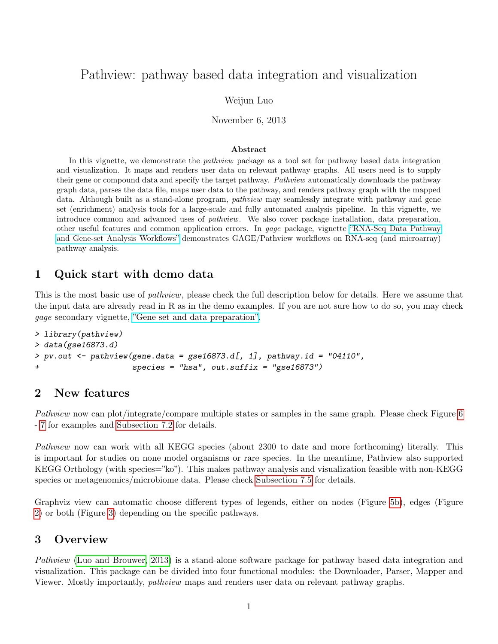# Pathview: pathway based data integration and visualization

#### Weijun Luo

November 6, 2013

#### Abstract

In this vignette, we demonstrate the pathview package as a tool set for pathway based data integration and visualization. It maps and renders user data on relevant pathway graphs. All users need is to supply their gene or compound data and specify the target pathway. Pathview automatically downloads the pathway graph data, parses the data file, maps user data to the pathway, and renders pathway graph with the mapped data. Although built as a stand-alone program, *pathview* may seamlessly integrate with pathway and gene set (enrichment) analysis tools for a large-scale and fully automated analysis pipeline. In this vignette, we introduce common and advanced uses of pathview. We also cover package installation, data preparation, other useful features and common application errors. In gage package, vignette ["RNA-Seq Data Pathway](http://bioconductor.org/packages/2.13/bioc/vignettes/gage/inst/doc/RNA-seqWorkflow.pdf) [and Gene-set Analysis Workflows"](http://bioconductor.org/packages/2.13/bioc/vignettes/gage/inst/doc/RNA-seqWorkflow.pdf) demonstrates GAGE/Pathview workflows on RNA-seq (and microarray) pathway analysis.

### 1 Quick start with demo data

This is the most basic use of *pathview*, please check the full description below for details. Here we assume that the input data are already read in R as in the demo examples. If you are not sure how to do so, you may check gage secondary vignette, ["Gene set and data preparation".](http://bioconductor.org/packages/2.13/bioc/vignettes/gage/inst/doc/dataPrep.pdf)

```
> library(pathview)
> data(gse16873.d)
> pv.out < -pathview(gene.data = gse16873.d[, 1], pathway.id = "04110",+ species = "hsa", out.suffix = "gse16873")
```
### 2 New features

Pathview now can plot/integrate/compare multiple states or samples in the same graph. Please check Figure [6](#page-14-0) - [7](#page-15-0) for examples and [Subsection 7.2](#page-12-0) for details.

Pathview now can work with all KEGG species (about 2300 to date and more forthcoming) literally. This is important for studies on none model organisms or rare species. In the meantime, Pathview also supported KEGG Orthology (with species="ko"). This makes pathway analysis and visualization feasible with non-KEGG species or metagenomics/microbiome data. Please check [Subsection 7.5](#page-17-0) for details.

Graphviz view can automatic choose different types of legends, either on nodes (Figure [5b\)](#page-11-0), edges (Figure [2\)](#page-5-0) or both (Figure [3\)](#page-7-0) depending on the specific pathways.

### 3 Overview

Pathview [\(Luo and Brouwer, 2013\)](#page-21-0) is a stand-alone software package for pathway based data integration and visualization. This package can be divided into four functional modules: the Downloader, Parser, Mapper and Viewer. Mostly importantly, pathview maps and renders user data on relevant pathway graphs.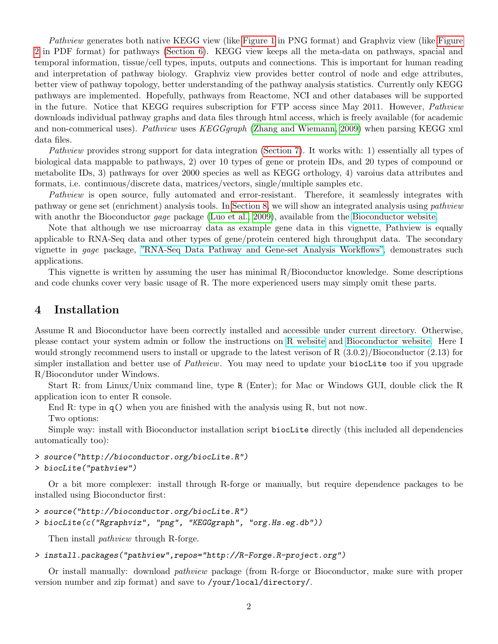Pathview generates both native KEGG view (like [Figure 1](#page-4-0) in PNG format) and Graphviz view (like [Figure](#page-5-0) [2](#page-5-0) in PDF format) for pathways [\(Section 6\)](#page-2-0). KEGG view keeps all the meta-data on pathways, spacial and temporal information, tissue/cell types, inputs, outputs and connections. This is important for human reading and interpretation of pathway biology. Graphviz view provides better control of node and edge attributes, better view of pathway topology, better understanding of the pathway analysis statistics. Currently only KEGG pathways are implemented. Hopefully, pathways from Reactome, NCI and other databases will be supported in the future. Notice that KEGG requires subscription for FTP access since May 2011. However, *Pathview* downloads individual pathway graphs and data files through html access, which is freely available (for academic and non-commerical uses). Pathview uses KEGGgraph [\(Zhang and Wiemann, 2009\)](#page-21-1) when parsing KEGG xml data files.

Pathview provides strong support for data integration [\(Section 7\)](#page-9-0). It works with: 1) essentially all types of biological data mappable to pathways, 2) over 10 types of gene or protein IDs, and 20 types of compound or metabolite IDs, 3) pathways for over 2000 species as well as KEGG orthology, 4) varoius data attributes and formats, i.e. continuous/discrete data, matrices/vectors, single/multiple samples etc.

Pathview is open source, fully automated and error-resistant. Therefore, it seamlessly integrates with pathway or gene set (enrichment) analysis tools. In [Section 8,](#page-20-0) we will show an integrated analysis using pathview with anothr the Bioconductor *gage* package [\(Luo et al., 2009\)](#page-21-2), available from the [Bioconductor website.](www.bioconductor.org/packages/release/bioc/html/gage.html)

Note that although we use microarray data as example gene data in this vignette, Pathview is equally applicable to RNA-Seq data and other types of gene/protein centered high throughput data. The secondary vignette in gage package, ["RNA-Seq Data Pathway and Gene-set Analysis Workflows",](http://bioconductor.org/packages/2.13/bioc/vignettes/gage/inst/doc/RNA-seqWorkflow.pdf) demonstrates such applications.

This vignette is written by assuming the user has minimal R/Bioconductor knowledge. Some descriptions and code chunks cover very basic usage of R. The more experienced users may simply omit these parts.

### 4 Installation

Assume R and Bioconductor have been correctly installed and accessible under current directory. Otherwise, please contact your system admin or follow the instructions on [R website](http://www.r-project.org/) and [Bioconductor website.](http://www.bioconductor.org/install/) Here I would strongly recommend users to install or upgrade to the latest verison of R  $(3.0.2)/B$ ioconductor  $(2.13)$  for simpler installation and better use of *Pathview*. You may need to update your biocLite too if you upgrade R/Biocondutor under Windows.

Start R: from Linux/Unix command line, type R (Enter); for Mac or Windows GUI, double click the R application icon to enter R console.

End R: type in  $q()$  when you are finished with the analysis using R, but not now.

Two options:

Simple way: install with Bioconductor installation script biocLite directly (this included all dependencies automatically too):

> source("http://bioconductor.org/biocLite.R")

```
> biocLite("pathview")
```
Or a bit more complexer: install through R-forge or manually, but require dependence packages to be installed using Bioconductor first:

```
> source("http://bioconductor.org/biocLite.R")
```

```
> biocLite(c("Rgraphviz", "png", "KEGGgraph", "org.Hs.eg.db"))
```
Then install pathview through R-forge.

#### > install.packages("pathview",repos="http://R-Forge.R-project.org")

Or install manually: download pathview package (from R-forge or Bioconductor, make sure with proper version number and zip format) and save to /your/local/directory/.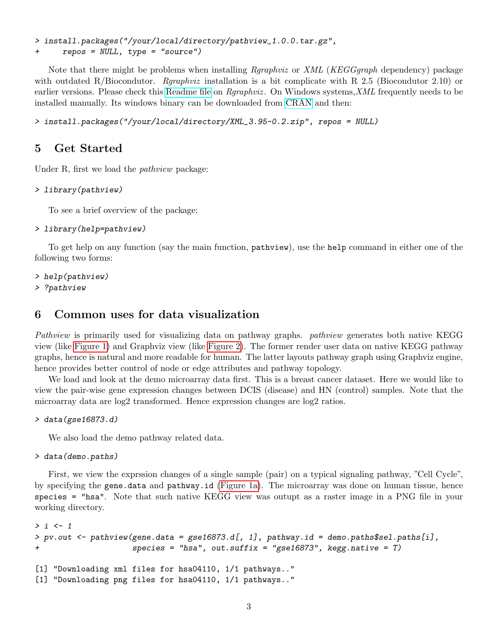> install.packages("/your/local/directory/pathview\_1.0.0.tar.gz",

+ repos = NULL, type = "source")

Note that there might be problems when installing *Rgraphviz* or XML (KEGGgraph dependency) package with outdated R/Biocondutor. *Rgraphviz* installation is a bit complicate with R 2.5 (Biocondutor 2.10) or earlier versions. Please check this [Readme file](http://pathview.r-forge.r-project.org/Rgraphviz.README) on *Rgraphviz*. On Windows systems, XML frequently needs to be installed manually. Its windows binary can be downloaded from [CRAN](http://cran.r-project.org/web/packages/XML/index.html) and then:

> install.packages("/your/local/directory/XML\_3.95-0.2.zip", repos = NULL)

## 5 Get Started

Under R, first we load the *pathview* package:

> library(pathview)

To see a brief overview of the package:

#### > library(help=pathview)

To get help on any function (say the main function, pathview), use the help command in either one of the following two forms:

```
> help(pathview)
```
> ?pathview

## <span id="page-2-0"></span>6 Common uses for data visualization

Pathview is primarily used for visualizing data on pathway graphs. *pathview* generates both native KEGG view (like [Figure 1\)](#page-4-0) and Graphviz view (like [Figure 2\)](#page-5-0). The former render user data on native KEGG pathway graphs, hence is natural and more readable for human. The latter layouts pathway graph using Graphviz engine, hence provides better control of node or edge attributes and pathway topology.

We load and look at the demo microarray data first. This is a breast cancer dataset. Here we would like to view the pair-wise gene expression changes between DCIS (disease) and HN (control) samples. Note that the microarray data are log2 transformed. Hence expression changes are log2 ratios.

> data(gse16873.d)

We also load the demo pathway related data.

> data(demo.paths)

First, we view the exprssion changes of a single sample (pair) on a typical signaling pathway, "Cell Cycle", by specifying the gene.data and pathway.id [\(Figure 1a\)](#page-4-0). The microarray was done on human tissue, hence species = "hsa". Note that such native KEGG view was outupt as a raster image in a PNG file in your working directory.

```
> i < -1> pv.out <- pathview(gene.data = gse16873.d[, 1], pathway.id = demo.paths$sel.paths[i],
+ species = "hsa", out.suffix = "gse16873", kegg.native = T)
[1] "Downloading xml files for hsa04110, 1/1 pathways.."
[1] "Downloading png files for hsa04110, 1/1 pathways.."
```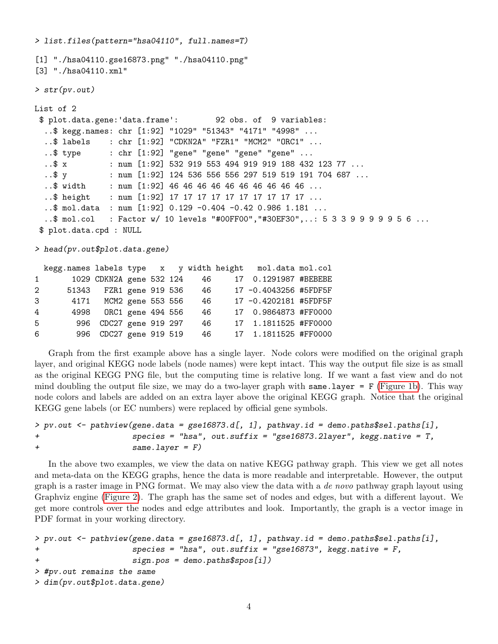> list.files(pattern="hsa04110", full.names=T) [1] "./hsa04110.gse16873.png" "./hsa04110.png" [3] "./hsa04110.xml" > str(pv.out) List of 2 \$ plot.data.gene:'data.frame': 92 obs. of 9 variables: ..\$ kegg.names: chr [1:92] "1029" "51343" "4171" "4998" ... ..\$ labels : chr [1:92] "CDKN2A" "FZR1" "MCM2" "ORC1" ...  $.$ \$ type  $:$  chr  $[1:92]$  "gene" "gene" "gene" "gene"  $.$ . ..\$ x : num [1:92] 532 919 553 494 919 919 188 432 123 77 ...  $.$ \$ y : num [1:92] 124 536 556 556 297 519 519 191 704 687 ... ..\$ width : num [1:92] 46 46 46 46 46 46 46 46 46 46 ... ..\$ height : num [1:92] 17 17 17 17 17 17 17 17 17 17 ... ..\$ mol.data : num [1:92] 0.129 -0.404 -0.42 0.986 1.181 ... ..\$ mol.col : Factor w/ 10 levels "#00FF00","#30EF30",..: 5 3 3 9 9 9 9 9 5 6 ... \$ plot.data.cpd : NULL

> head(pv.out\$plot.data.gene)

|             |           |                          |  |     | kegg.names labels type x y width height mol.data mol.col |  |
|-------------|-----------|--------------------------|--|-----|----------------------------------------------------------|--|
|             | $1 \quad$ | 1029 CDKN2A gene 532 124 |  | 46  | 17 0.1291987 #BEBEBE                                     |  |
| $2^{\circ}$ |           | 51343 FZR1 gene 919 536  |  | 46  | 17 -0.4043256 #5FDF5F                                    |  |
| 3           |           | 4171 MCM2 gene 553 556   |  | 46  | 17 -0.4202181 #5FDF5F                                    |  |
| 4           |           | 4998 ORC1 gene 494 556   |  | 46  | 17 0.9864873 #FF0000                                     |  |
| 5           | 996       | CDC27 gene 919 297       |  | -46 | 17 1.1811525 #FF0000                                     |  |
| 6           |           | 996 CDC27 gene 919 519   |  | 46  | 17 1.1811525 #FF0000                                     |  |

Graph from the first example above has a single layer. Node colors were modified on the original graph layer, and original KEGG node labels (node names) were kept intact. This way the output file size is as small as the original KEGG PNG file, but the computing time is relative long. If we want a fast view and do not mind doubling the output file size, we may do a two-layer graph with same.layer =  $F$  [\(Figure 1b\)](#page-4-0). This way node colors and labels are added on an extra layer above the original KEGG graph. Notice that the original KEGG gene labels (or EC numbers) were replaced by official gene symbols.

```
> pv.out <- pathview(gene.data = gse16873.d[, 1], pathway.id = demo.paths$sel.paths[i],
+ species = "hsa", out.suffix = "gse16873.2layer", kegg.native = T,
+ same.layer = F)
```
In the above two examples, we view the data on native KEGG pathway graph. This view we get all notes and meta-data on the KEGG graphs, hence the data is more readable and interpretable. However, the output graph is a raster image in PNG format. We may also view the data with a *de novo* pathway graph layout using Graphviz engine [\(Figure 2\)](#page-5-0). The graph has the same set of nodes and edges, but with a different layout. We get more controls over the nodes and edge attributes and look. Importantly, the graph is a vector image in PDF format in your working directory.

```
> pv.out <- pathview(gene.data = gse16873.d[, 1], pathway.id = demo.paths$sel.paths[i],
+ species = "hsa", out.suffix = "gse16873", kegg.native = F,
+ sign.pos = demo.paths$spos[i])
> #pv.out remains the same
```

```
> dim(pv.out$plot.data.gene)
```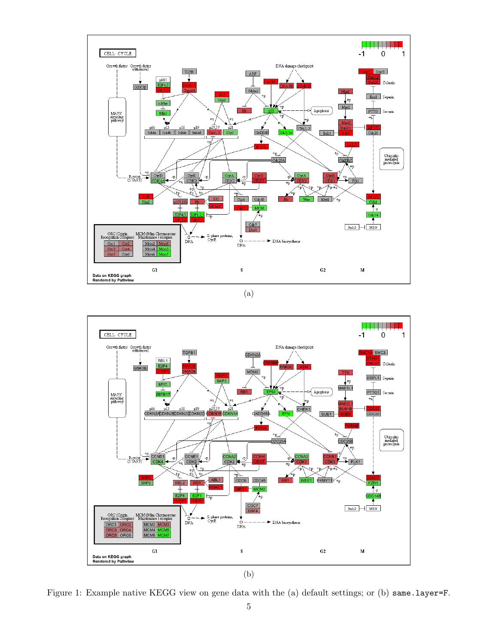<span id="page-4-0"></span>

(a)



Figure 1: Example native KEGG view on gene data with the (a) default settings; or (b) same.layer=F.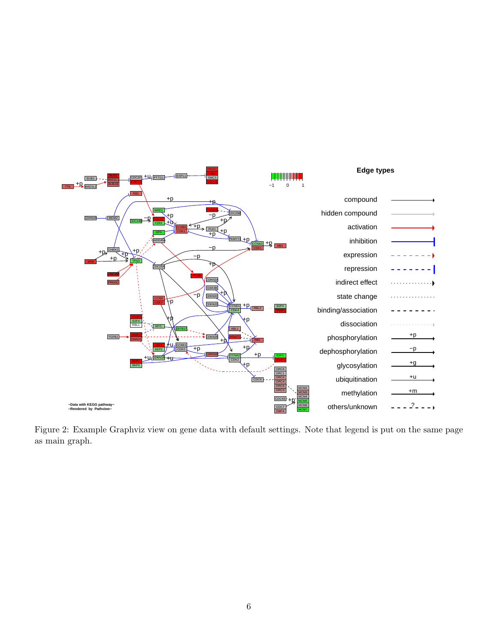<span id="page-5-0"></span>

Figure 2: Example Graphviz view on gene data with default settings. Note that legend is put on the same page as main graph.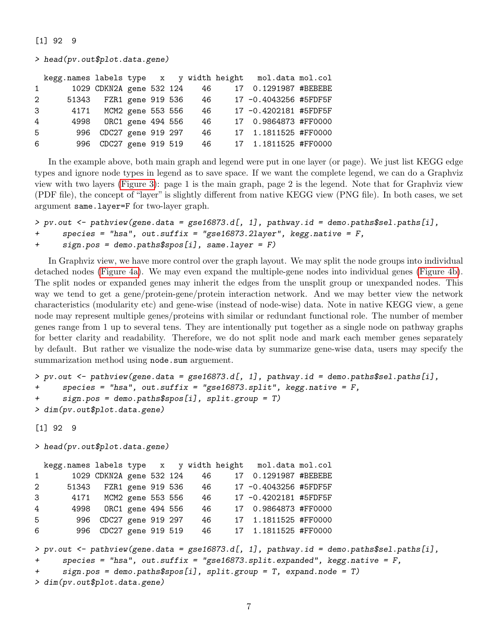#### [1] 92 9

> head(pv.out\$plot.data.gene)

|              |      |                          |                   |  |    | kegg.names labels type x y width height mol.data mol.col |  |
|--------------|------|--------------------------|-------------------|--|----|----------------------------------------------------------|--|
| $\mathbf{1}$ |      | 1029 CDKN2A gene 532 124 |                   |  | 46 | 17 0.1291987 #BEBEBE                                     |  |
| 2            |      | 51343 FZR1 gene 919 536  |                   |  | 46 | 17 -0.4043256 #5FDF5F                                    |  |
| 3            |      | 4171 MCM2 gene 553 556   |                   |  | 46 | 17 -0.4202181 #5FDF5F                                    |  |
| 4            | 4998 |                          | ORC1 gene 494 556 |  | 46 | 17 0.9864873 #FF0000                                     |  |
| 5            |      | 996 CDC27 gene 919 297   |                   |  | 46 | 17 1.1811525 #FF0000                                     |  |
| 6            |      | 996 CDC27 gene 919 519   |                   |  | 46 | 17 1.1811525 #FF0000                                     |  |
|              |      |                          |                   |  |    |                                                          |  |

In the example above, both main graph and legend were put in one layer (or page). We just list KEGG edge types and ignore node types in legend as to save space. If we want the complete legend, we can do a Graphviz view with two layers [\(Figure 3\)](#page-7-0): page 1 is the main graph, page 2 is the legend. Note that for Graphviz view (PDF file), the concept of "layer" is slightly different from native KEGG view (PNG file). In both cases, we set argument same.layer=F for two-layer graph.

```
> pv.out <- pathview(gene.data = gse16873.d[, 1], pathway.id = demo.paths$sel.paths[i],
+ species = "hsa", out.suffix = "gse16873.2layer", kegg.native = F,
+ sign.pos = demo.paths$spos[i], same.layer = F)
```
In Graphviz view, we have more control over the graph layout. We may split the node groups into individual detached nodes [\(Figure 4a\)](#page-8-0). We may even expand the multiple-gene nodes into individual genes [\(Figure 4b\)](#page-8-0). The split nodes or expanded genes may inherit the edges from the unsplit group or unexpanded nodes. This way we tend to get a gene/protein-gene/protein interaction network. And we may better view the network characteristics (modularity etc) and gene-wise (instead of node-wise) data. Note in native KEGG view, a gene node may represent multiple genes/proteins with similar or redundant functional role. The number of member genes range from 1 up to several tens. They are intentionally put together as a single node on pathway graphs for better clarity and readability. Therefore, we do not split node and mark each member genes separately by default. But rather we visualize the node-wise data by summarize gene-wise data, users may specify the summarization method using node.sum arguement.

```
> pv.out <- pathview(gene.data = gse16873.d[, 1], pathway.id = demo.paths$sel.paths[i],
+ species = "hsa", out.suffix = "gse16873.split", kegg.native = F,
+ sign.pos = demo.paths$spos[i], split.group = T)
> dim(pv.out$plot.data.gene)
```
[1] 92 9

> head(pv.out\$plot.data.gene)

```
kegg.names labels type x y width height mol.data mol.col
1 1029 CDKN2A gene 532 124 46 17 0.1291987 #BEBEBE
2 51343 FZR1 gene 919 536 46 17 -0.4043256 #5FDF5F
3 4171 MCM2 gene 553 556 46 17 -0.4202181 #5FDF5F
4 4998 ORC1 gene 494 556 46 17 0.9864873 #FF0000
5 996 CDC27 gene 919 297 46 17 1.1811525 #FF0000
6 996 CDC27 gene 919 519 46 17 1.1811525 #FF0000
> pv.out <- pathview(gene.data = gse16873.d[, 1], pathway.id = demo.paths$sel.paths[i],
+ species = "hsa", out.suffix = "gse16873.split.expanded", kegg.native = F,
+ sign.pos = demo.paths$spos[i], split.group = T, expand.node = T)
> dim(pv.out$plot.data.gene)
```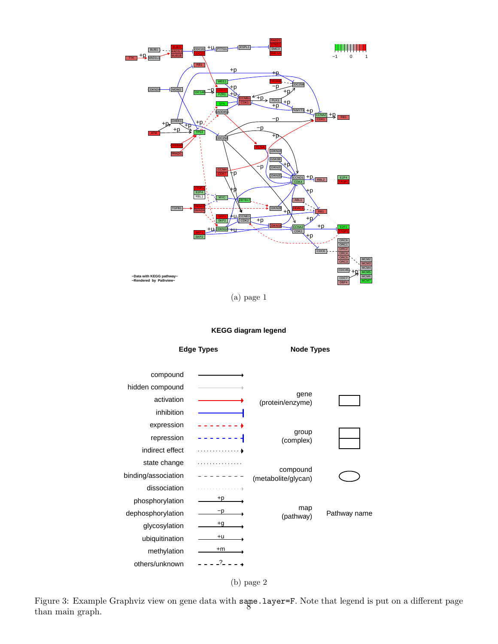<span id="page-7-0"></span>

(a) page 1

#### **KEGG diagram legend**





Figure 3: Example Graphviz view on gene data with same.layer=F. Note that legend is put on a different page than main graph.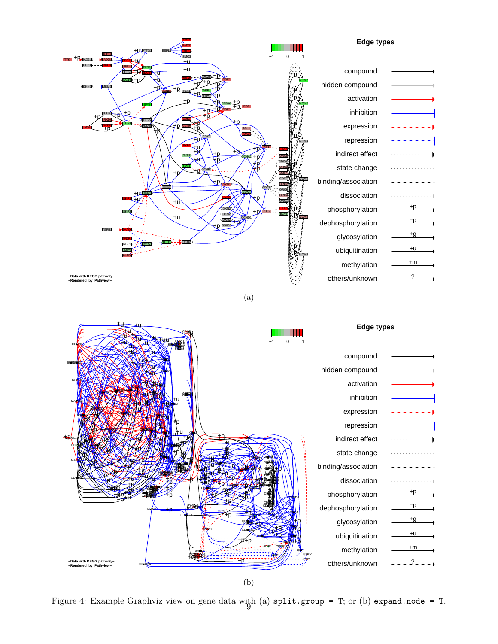<span id="page-8-0"></span>

(b)

Figure 4: Example Graphviz view on gene data with (a)  $\text{split.group} = T$ ; or (b) expand.node = T.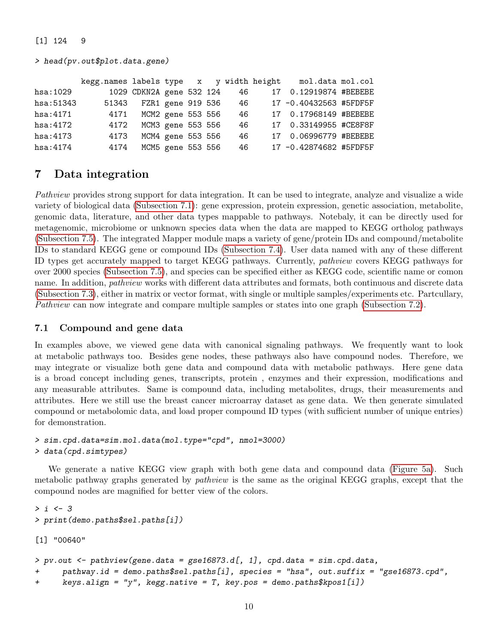#### [1] 124 9

> head(pv.out\$plot.data.gene)

|            | kegg.names labels type x y width height |                          |                   |  |    | mol.data mol.col       |  |
|------------|-----------------------------------------|--------------------------|-------------------|--|----|------------------------|--|
| hsa:1029   |                                         | 1029 CDKN2A gene 532 124 |                   |  | 46 | 17 0.12919874 #BEBEBE  |  |
| hsa: 51343 | 51343                                   | FZR1 gene 919 536        |                   |  | 46 | 17 -0.40432563 #5FDF5F |  |
| hsa: 4171  | 4171                                    | MCM2 gene 553 556        |                   |  | 46 | 17 0.17968149 #BEBEBE  |  |
| hsa: 4172  | 4172                                    | MCM3 gene 553 556        |                   |  | 46 | 17 0.33149955 #CE8F8F  |  |
| hsa:4173   | 4173                                    | MCM4 gene 553 556        |                   |  | 46 | 17 0.06996779 #BEBEBE  |  |
| hsa:4174   | 4174                                    |                          | MCM5 gene 553 556 |  | 46 | 17 -0.42874682 #5FDF5F |  |

## <span id="page-9-0"></span>7 Data integration

Pathview provides strong support for data integration. It can be used to integrate, analyze and visualize a wide variety of biological data [\(Subsection 7.1\)](#page-9-1): gene expression, protein expression, genetic association, metabolite, genomic data, literature, and other data types mappable to pathways. Notebaly, it can be directly used for metagenomic, microbiome or unknown species data when the data are mapped to KEGG ortholog pathways [\(Subsection 7.5\)](#page-17-0). The integrated Mapper module maps a variety of gene/protein IDs and compound/metabolite IDs to standard KEGG gene or compound IDs [\(Subsection 7.4\)](#page-16-0). User data named with any of these different ID types get accurately mapped to target KEGG pathways. Currently, pathview covers KEGG pathways for over 2000 species [\(Subsection 7.5\)](#page-17-0), and species can be specified either as KEGG code, scientific name or comon name. In addition, *pathview* works with different data attributes and formats, both continuous and discrete data [\(Subsection 7.3\)](#page-13-0), either in matrix or vector format, with single or multiple samples/experiments etc. Partcullary, Pathview can now integrate and compare multiple samples or states into one graph [\(Subsection 7.2\)](#page-12-0).

### <span id="page-9-1"></span>7.1 Compound and gene data

In examples above, we viewed gene data with canonical signaling pathways. We frequently want to look at metabolic pathways too. Besides gene nodes, these pathways also have compound nodes. Therefore, we may integrate or visualize both gene data and compound data with metabolic pathways. Here gene data is a broad concept including genes, transcripts, protein , enzymes and their expression, modifications and any measurable attributes. Same is compound data, including metabolites, drugs, their measurements and attributes. Here we still use the breast cancer microarray dataset as gene data. We then generate simulated compound or metabolomic data, and load proper compound ID types (with sufficient number of unique entries) for demonstration.

```
> sim.cpd.data=sim.mol.data(mol.type="cpd", nmol=3000)
> data(cpd.simtypes)
```
We generate a native KEGG view graph with both gene data and compound data [\(Figure 5a\)](#page-11-0). Such metabolic pathway graphs generated by pathview is the same as the original KEGG graphs, except that the compound nodes are magnified for better view of the colors.

```
> i < -3> print(demo.paths$sel.paths[i])
[1] "00640"
> pv.out < - pathview(gene.data = gse16873.d[, 1], cpd.data = sim.cpd.data,
+ pathway.id = demo.paths$sel.paths[i], species = "hsa", out.suffix = "gse16873.cpd",
+ keys.align = "y", kegg.native = T, key.pos = demo.paths$kpos1[i])
```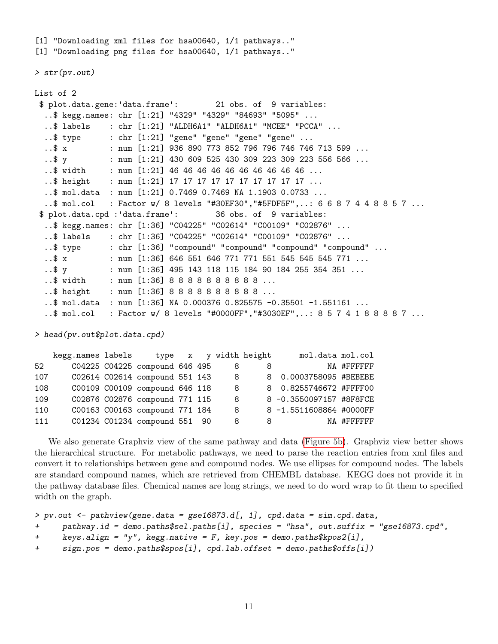[1] "Downloading xml files for hsa00640, 1/1 pathways.." [1] "Downloading png files for hsa00640, 1/1 pathways.." > str(pv.out) List of 2 \$ plot.data.gene:'data.frame': 21 obs. of 9 variables: ..\$ kegg.names: chr [1:21] "4329" "4329" "84693" "5095" ... ..\$ labels : chr [1:21] "ALDH6A1" "ALDH6A1" "MCEE" "PCCA"  $\ldots$ \$ type  $\ldots$  chr  $[1:21]$  "gene" "gene" "gene" "gene"  $\ldots$ 

```
..$ x : num [1:21] 936 890 773 852 796 796 746 746 713 599 ...
 ..$ y : num [1:21] 430 609 525 430 309 223 309 223 556 566 ...
 ..$ width : num [1:21] 46 46 46 46 46 46 46 46 46 46 ...
 ..$ height : num [1:21] 17 17 17 17 17 17 17 17 17 17 ...
 ..$ mol.data : num [1:21] 0.7469 0.7469 NA 1.1903 0.0733 ...
 ..$ mol.col : Factor w/ 8 levels "#30EF30","#5FDF5F",..: 6 6 8 7 4 4 8 8 5 7 ...
$ plot.data.cpd :'data.frame': 36 obs. of 9 variables:
 ..$ kegg.names: chr [1:36] "C04225" "C02614" "C00109" "C02876" ...
 ..$ labels : chr [1:36] "C04225" "C02614" "C00109" "C02876" ...
 ..$ type : chr [1:36] "compound" "compound" "compound" "compound" ...
 ..$ x : num [1:36] 646 551 646 771 771 551 545 545 545 771 ...
 ..$ y : num [1:36] 495 143 118 115 184 90 184 255 354 351 ...
 ..$ width : num [1:36] 8 8 8 8 8 8 8 8 8 8 ...
 ..$ height : num [1:36] 8 8 8 8 8 8 8 8 8 8 ...
 ..$ mol.data : num [1:36] NA 0.000376 0.825575 -0.35501 -1.551161 ...
 ..$ mol.col : Factor w/ 8 levels "#0000FF","#3030EF",..: 8 5 7 4 1 8 8 8 8 7 ...
```
> head(pv.out\$plot.data.cpd)

|     | kegg.names labels |                                |  |    | type x y width height | mol.data mol.col        |             |
|-----|-------------------|--------------------------------|--|----|-----------------------|-------------------------|-------------|
| 52  |                   | C04225 C04225 compound 646 495 |  | 8  | 8                     |                         | NA #FFFFFFF |
| 107 |                   | C02614 C02614 compound 551 143 |  | -8 |                       | 8 0.0003758095 #BEBEBE  |             |
| 108 |                   | C00109 C00109 compound 646 118 |  | 8  |                       | 8 0.8255746672 #FFFF00  |             |
| 109 |                   | C02876 C02876 compound 771 115 |  | 8  |                       | 8 -0.3550097157 #8F8FCE |             |
| 110 |                   | C00163 C00163 compound 771 184 |  | 8  |                       | 8 -1.5511608864 #0000FF |             |
| 111 |                   | C01234 C01234 compound 551 90  |  | 8  |                       | 8 - 10                  | NA #FFFFFFF |

We also generate Graphviz view of the same pathway and data [\(Figure 5b\)](#page-11-0). Graphviz view better shows the hierarchical structure. For metabolic pathways, we need to parse the reaction entries from xml files and convert it to relationships between gene and compound nodes. We use ellipses for compound nodes. The labels are standard compound names, which are retrieved from CHEMBL database. KEGG does not provide it in the pathway database files. Chemical names are long strings, we need to do word wrap to fit them to specified width on the graph.

```
> pv.out < - pathview(gene.data = gse16873.d[, 1], cpd.data = sim.cpd.data,
```

```
+ pathway.id = demo.paths$sel.paths[i], species = "hsa", out.suffix = "gse16873.cpd",
```

```
+ keys.align = "y", kegg.native = F, key.pos = demo.paths$kpos2[i],
```

```
+ sign.pos = demo.paths$spos[i], cpd.lab.offset = demo.paths$offs[i])
```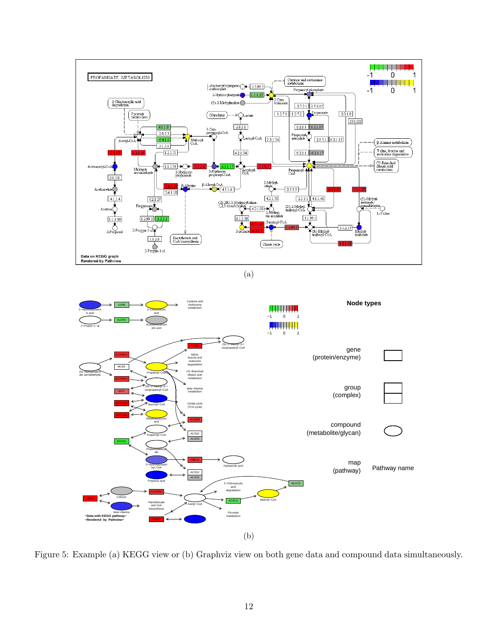<span id="page-11-0"></span>

(a)



Figure 5: Example (a) KEGG view or (b) Graphviz view on both gene data and compound data simultaneously.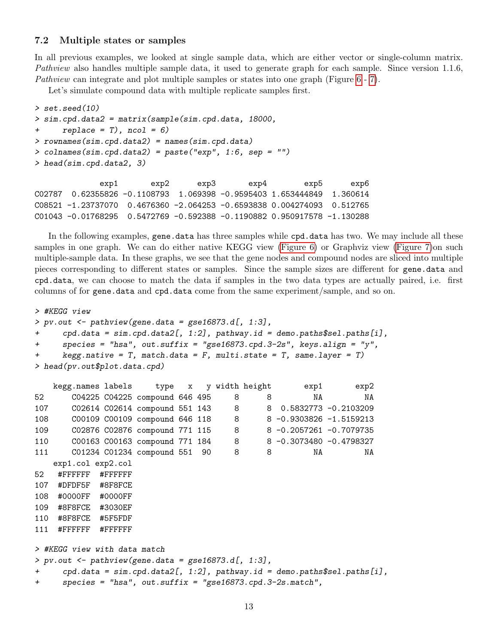#### <span id="page-12-0"></span>7.2 Multiple states or samples

In all previous examples, we looked at single sample data, which are either vector or single-column matrix. Pathview also handles multiple sample data, it used to generate graph for each sample. Since version 1.1.6, Pathview can integrate and plot multiple samples or states into one graph (Figure [6](#page-14-0) - [7\)](#page-15-0).

Let's simulate compound data with multiple replicate samples first.

```
> set.seed(10)
> sim.cpd.data2 = matrix(sample(sim.cpd.data, 18000,
+ replace = T), ncol = 6)
> rownames(sim.cpd.data2) = names(sim.cpd.data)
> colnames(sim.cpd.data2) = paste("exp", 1:6, sep = "")
> head(sim.cpd.data2, 3)
             exp1 exp2 exp3 exp4 exp5 exp6
C02787 0.62355826 -0.1108793 1.069398 -0.9595403 1.653444849 1.360614
C08521 -1.23737070 0.4676360 -2.064253 -0.6593838 0.004274093 0.512765
```
C01043 -0.01768295 0.5472769 -0.592388 -0.1190882 0.950917578 -1.130288

In the following examples, gene.data has three samples while cpd.data has two. We may include all these samples in one graph. We can do either native KEGG view [\(Figure 6\)](#page-14-0) or Graphviz view [\(Figure 7\)](#page-15-0)on such multiple-sample data. In these graphs, we see that the gene nodes and compound nodes are sliced into multiple pieces corresponding to different states or samples. Since the sample sizes are different for gene.data and cpd.data, we can choose to match the data if samples in the two data types are actually paired, i.e. first columns of for gene.data and cpd.data come from the same experiment/sample, and so on.

```
> #KEGG view
> pv.out < -pathview(gene.data = gse16873.d[, 1:3],+ cpd.data = sim.cpd.data2[, 1:2], pathway.id = demo.paths$sel.paths[i],
+ species = "hsa", out.suffix = "gse16873.cpd.3-2s", keys.align = "y",
+ kegg.native = T, match.data = F, multi.state = T, same.layer = T)
> head(pv.out$plot.data.cpd)
   kegg.names labels type x y width height exp1 exp2
52 C04225 C04225 compound 646 495 8 8 NA NA
107 C02614 C02614 compound 551 143 8 8 0.5832773 -0.2103209
108 C00109 C00109 compound 646 118 8 8 -0.9303826 -1.5159213
109 C02876 C02876 compound 771 115 8 8 -0.2057261 -0.7079735
110 C00163 C00163 compound 771 184 8 8 -0.3073480 -0.4798327
111 C01234 C01234 compound 551 90 8 8 NA NA
   exp1.col exp2.col
52 #FFFFFF #FFFFFF
107 #DFDF5F #8F8FCE
108 #0000FF #0000FF
109 #8F8FCE #3030EF
110 #8F8FCE #5F5FDF
111 #FFFFFF #FFFFFF
> #KEGG view with data match
> pv.out < -pathview(gene.data = gse16873.d[, 1:3],+ cpd.data = sim.cpd.data2[, 1:2], pathway.id = demo.paths$sel.paths[i],
+ species = "hsa", out.suffix = "gse16873.cpd.3-2s.match",
```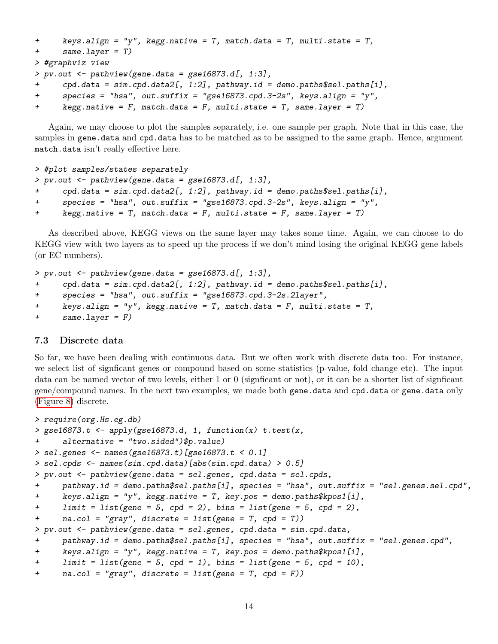```
+ keys.align = "y", kegg.native = T, match.data = T, multi.state = T,
+ same.layer = T)
> #graphviz view
> pv.out <- pathview(gene.data = gse16873.d[, 1:3],
     cpd.data = sim.cpd.data2[, 1:2], pathway.id = demo.paths$sel.paths[i],+ species = "hsa", out.suffix = "gse16873.cpd.3-2s", keys.align = "y",
+ kegg.native = F, match.data = F, multi.state = T, same.layer = T)
```
Again, we may choose to plot the samples separately, i.e. one sample per graph. Note that in this case, the samples in gene.data and cpd.data has to be matched as to be assigned to the same graph. Hence, argument match.data isn't really effective here.

```
> #plot samples/states separately
> pv.out < -pathview(gene.data = gse16873.d[, 1:3],+ cpd.data = sim.cpd.data2[, 1:2], pathway.id = demo.paths$sel.paths[i],
+ species = "hsa", out.suffix = "gse16873.cpd.3-2s", keys.align = "y",
+ kegg.native = T, match.data = F, multi.state = F, same.layer = T)
```
As described above, KEGG views on the same layer may takes some time. Again, we can choose to do KEGG view with two layers as to speed up the process if we don't mind losing the original KEGG gene labels (or EC numbers).

```
> pv.out < -pathview(gene.data = gse16873.d[, 1:3],+ cpd.data = sim.cpd.data2[, 1:2], pathway.id = demo.paths$sel.paths[i],
+ species = "hsa", out.suffix = "gse16873.cpd.3-2s.2layer",
+ keys.align = "y", kegg.native = T, match.data = F, multi.state = T,
+ same.layer = F)
```
#### <span id="page-13-0"></span>7.3 Discrete data

So far, we have been dealing with continuous data. But we often work with discrete data too. For instance, we select list of signficant genes or compound based on some statistics (p-value, fold change etc). The input data can be named vector of two levels, either 1 or 0 (signficant or not), or it can be a shorter list of signficant gene/compound names. In the next two examples, we made both gene.data and cpd.data or gene.data only [\(Figure 8\)](#page-15-1) discrete.

```
> require(org.Hs.eg.db)
> gse16873.t <- apply(gse16873.d, 1, function(x) t.test(x,+ alternative = "two.sided")$p.value)
> sel.genes <- names(gse16873.t)[gse16873.t < 0.1]
> sel.cpds <- names(sim.cpd.data)[abs(sim.cpd.data) > 0.5]
> pv.out <- pathview(gene.data = sel.genes, cpd.data = sel.cpds,
+ pathway.id = demo.paths$sel.paths[i], species = "hsa", out.suffix = "sel.genes.sel.cpd",
+ keys.align = "y", kegg.native = T, key.pos = demo.paths$kpos1[i],
+ limit = list(gene = 5, cpd = 2), bins = list(gene = 5, cpd = 2),
+ na.col = "gray", discrete = list(gene = T, cpd = T))
> pv.out <- pathview(gene.data = sel.genes, cpd.data = sim.cpd.data,
+ pathway.id = demo.paths$sel.paths[i], species = "hsa", out.suffix = "sel.genes.cpd",
+ keys.align = "y", kegg.native = T, key.pos = demo.paths$kpos1[i],
+ limit = list(gene = 5, cpd = 1), bins = list(gene = 5, cpd = 10),
+ na.col = "gray", discrete = list(gene = T, cpd = F))
```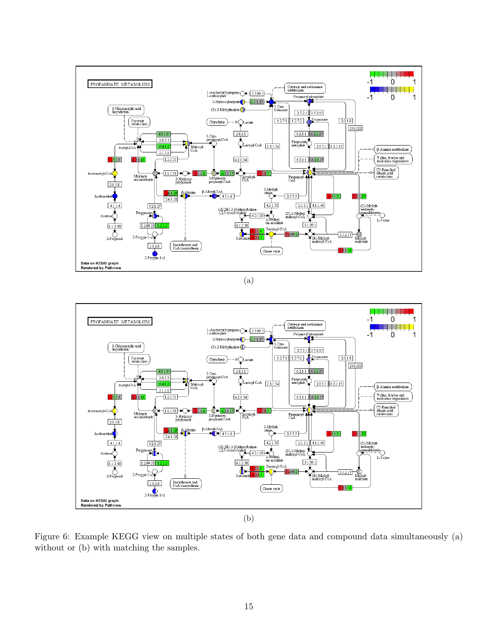<span id="page-14-0"></span>

(a)



Figure 6: Example KEGG view on multiple states of both gene data and compound data simultaneously (a) without or (b) with matching the samples.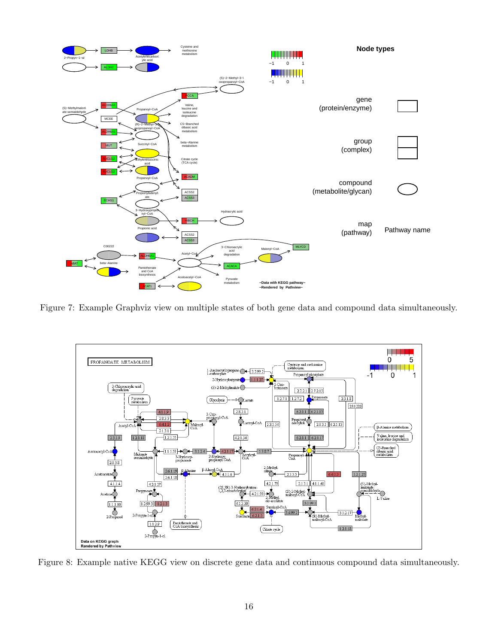<span id="page-15-0"></span>

Figure 7: Example Graphviz view on multiple states of both gene data and compound data simultaneously.

<span id="page-15-1"></span>

Figure 8: Example native KEGG view on discrete gene data and continuous compound data simultaneously.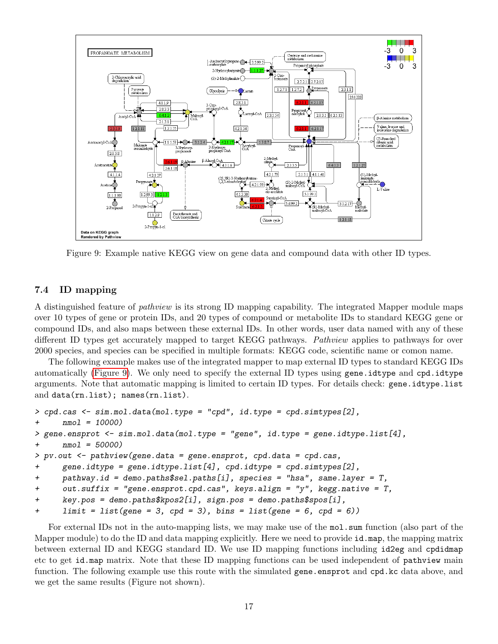<span id="page-16-1"></span>

Figure 9: Example native KEGG view on gene data and compound data with other ID types.

#### <span id="page-16-0"></span>7.4 ID mapping

A distinguished feature of pathview is its strong ID mapping capability. The integrated Mapper module maps over 10 types of gene or protein IDs, and 20 types of compound or metabolite IDs to standard KEGG gene or compound IDs, and also maps between these external IDs. In other words, user data named with any of these different ID types get accurately mapped to target KEGG pathways. Pathview applies to pathways for over 2000 species, and species can be specified in multiple formats: KEGG code, scientific name or comon name.

The following example makes use of the integrated mapper to map external ID types to standard KEGG IDs automatically [\(Figure 9\)](#page-16-1). We only need to specify the external ID types using gene.idtype and cpd.idtype arguments. Note that automatic mapping is limited to certain ID types. For details check: gene.idtype.list and data(rn.list); names(rn.list).

```
> cpd.cas \leq sim.mol.data(mol.type = "cpd", id.type = cpd.simtypes[2],
+ nmol = 10000)
> gene.ensprot <- sim.mol.data(mol.type = "gene", id.type = gene.idtype.list[4],
+ nmol = 50000)
> pv.out <- pathview(gene.data = gene.ensprot, cpd.data = cpd.cas,
+ gene.idtype = gene.idtype.list[4], cpd.idtype = cpd.simtypes[2],
+ pathway.id = demo.paths$sel.paths[i], species = "hsa", same.layer = T,
+ out.suffix = "gene.ensprot.cpd.cas", keys.align = "y", kegg.native = T,
+ key.pos = demo.paths$kpos2[i], sign.pos = demo.paths$spos[i],
+ \quad limit = list(gene = 3, cpd = 3), bins = list(gene = 6, cpd = 6))
```
For external IDs not in the auto-mapping lists, we may make use of the mol.sum function (also part of the Mapper module) to do the ID and data mapping explicitly. Here we need to provide id.map, the mapping matrix between external ID and KEGG standard ID. We use ID mapping functions including id2eg and cpdidmap etc to get id.map matrix. Note that these ID mapping functions can be used independent of pathview main function. The following example use this route with the simulated gene.ensprot and cpd.kc data above, and we get the same results (Figure not shown).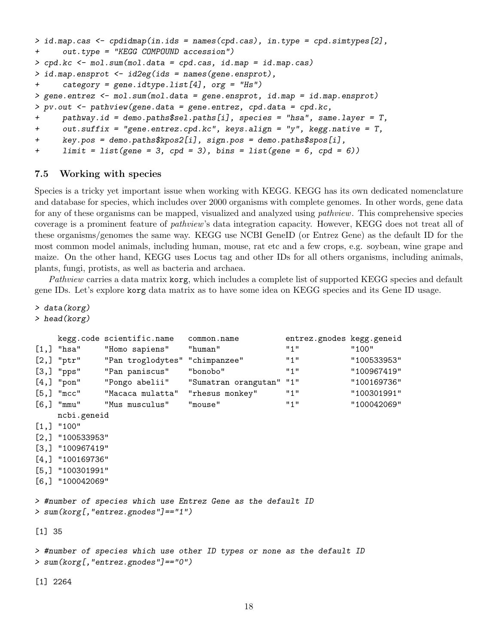```
> id.map.cas <- cpdidmap(in.ids = names(cpd.cas), in.type = cpd.simtypes[2],
+ out.type = "KEGG COMPOUND accession")
> cpd.kc <- mol.sum(mol.data = cpd.cas, id.map = id.map.cas)
> id.map.ensprot <- id2eg(ids = names(gene.ensprot),
+ category = gene.idtype.list[4], org = "Hs")
> gene.entrez <- mol.sum(mol.data = gene.ensprot, id.map = id.map.ensprot)
> pv.out <- pathview(gene.data = gene.entrez, cpd.data = cpd.kc,
+ pathway.id = demo.paths$sel.paths[i], species = "hsa", same.layer = T,
+ out.suffix = "gene.entrez.cpd.kc", keys.align = "y", kegg.native = T,
+ key.pos = demo.paths$kpos2[i], sign.pos = demo.paths$spos[i],
+ \quad limit = list(gene = 3, cpd = 3), bins = list(gene = 6, cpd = 6))
```
#### <span id="page-17-0"></span>7.5 Working with species

Species is a tricky yet important issue when working with KEGG. KEGG has its own dedicated nomenclature and database for species, which includes over 2000 organisms with complete genomes. In other words, gene data for any of these organisms can be mapped, visualized and analyzed using *pathview*. This comprehensive species coverage is a prominent feature of pathview's data integration capacity. However, KEGG does not treat all of these organisms/genomes the same way. KEGG use NCBI GeneID (or Entrez Gene) as the default ID for the most common model animals, including human, mouse, rat etc and a few crops, e.g. soybean, wine grape and maize. On the other hand, KEGG uses Locus tag and other IDs for all others organisms, including animals, plants, fungi, protists, as well as bacteria and archaea.

Pathview carries a data matrix korg, which includes a complete list of supported KEGG species and default gene IDs. Let's explore korg data matrix as to have some idea on KEGG species and its Gene ID usage.

```
> data(korg)
```

```
> head(korg)
```

```
kegg.code scientific.name common.name entrez.gnodes kegg.geneid
[1,] "hsa"  "Homo sapiens"  "human"  "1"  "100"
[2,] "ptr" "Pan troglodytes" "chimpanzee" "1" 100533953"
[3,] "pps" "Pan paniscus" "bonobo" "1" "100967419"
[4,] "pon" "Pongo abelii" "Sumatran orangutan" "1" "100169736"
[5,] "mcc" "Macaca mulatta" "rhesus monkey" "1" "100301991"
[6,] "mmu" "Mus musculus" "mouse" "1" "100042069"
    ncbi.geneid
[1,] "100"
[2,] "100533953"
[3,] "100967419"
[4,] "100169736"
[5,] "100301991"
[6,] "100042069"
> #number of species which use Entrez Gene as the default ID
> sum(korg[,"entrez.gnodes"]=="1")
[1] 35
> #number of species which use other ID types or none as the default ID
> sum(korg[,"entrez.gnodes"]=="0")
[1] 2264
```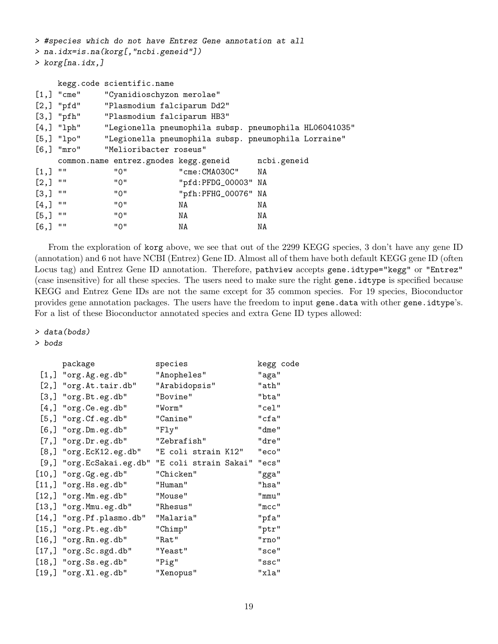> #species which do not have Entrez Gene annotation at all > na.idx=is.na(korg[,"ncbi.geneid"])

> korg[na.idx,]

|                    |              | kegg.code scientific.name             |                                        |                                                        |  |  |  |  |
|--------------------|--------------|---------------------------------------|----------------------------------------|--------------------------------------------------------|--|--|--|--|
|                    | $[1,]$ "cme" | "Cyanidioschyzon merolae"             |                                        |                                                        |  |  |  |  |
|                    | $[2,]$ "pfd" | "Plasmodium falciparum Dd2"           |                                        |                                                        |  |  |  |  |
|                    |              |                                       | [3,] "pfh" "Plasmodium falciparum HB3" |                                                        |  |  |  |  |
|                    | $[4,]$ "lph" |                                       |                                        | "Legionella pneumophila subsp. pneumophila HL06041035" |  |  |  |  |
|                    | $[5,]$ "lpo" |                                       |                                        | "Legionella pneumophila subsp. pneumophila Lorraine"   |  |  |  |  |
|                    | $[6,]$ "mro" |                                       | "Melioribacter roseus"                 |                                                        |  |  |  |  |
|                    |              | common.name entrez.gnodes kegg.geneid |                                        | ncbi.geneid                                            |  |  |  |  |
| $[1,]$ ""          |              | "0"                                   | "cme: CMA030C" NA                      |                                                        |  |  |  |  |
| [2,]               | $\mathbf{H}$ | "0"                                   | "pfd:PFDG_00003" NA                    |                                                        |  |  |  |  |
| $\left[3, \right]$ | $\mathbf{H}$ | "0"                                   | "pfh:PFHG_00076" NA                    |                                                        |  |  |  |  |
| [4,]               | $\mathbf{H}$ | "0"                                   | NA                                     | NA                                                     |  |  |  |  |
| $[5,]$ ""          |              | "0"                                   | NA                                     | NA                                                     |  |  |  |  |
| $[6,$ ]            | $\mathbf{H}$ | "0"                                   | ΝA                                     | NA                                                     |  |  |  |  |

From the exploration of korg above, we see that out of the 2299 KEGG species, 3 don't have any gene ID (annotation) and 6 not have NCBI (Entrez) Gene ID. Almost all of them have both default KEGG gene ID (often Locus tag) and Entrez Gene ID annotation. Therefore, pathview accepts gene.idtype="kegg" or "Entrez" (case insensitive) for all these species. The users need to make sure the right gene.idtype is specified because KEGG and Entrez Gene IDs are not the same except for 35 common species. For 19 species, Bioconductor provides gene annotation packages. The users have the freedom to input gene.data with other gene.idtype's. For a list of these Bioconductor annotated species and extra Gene ID types allowed:

#### > data(bods)

#### > bods

| package                     | species               | kegg code |
|-----------------------------|-----------------------|-----------|
| $[1,]$ "org. Ag. eg. db"    | "Anopheles"           | "aga"     |
| $[2,]$ "org. At. tair. db"  | "Arabidopsis"         | "ath"     |
| $[3,]$ " $org.Bt.eg.db"$    | "Bovine"              | "bta"     |
| $[4,]$ " $org.Ce.eg.db"$    | "Worm"                | "cel"     |
| $[5,]$ " $org.Cf.eg.db"$    | "Canine"              | "cfa"     |
| $[6,]$ " $org.Dm.eg.db"$    | "Fly"                 | "dme"     |
| $[7,]$ "org.Dr.eg.db"       | "Zebrafish"           | "dre"     |
| $[8,]$ "org. EcK12.eg.db"   | "E coli strain K12"   | "eco"     |
| [9,] "org.EcSakai.eg.db"    | "E coli strain Sakai" | "ecs"     |
| $[10,]$ " $org.Gg.eg.db"$   | "Chicken"             | "gga"     |
| $[11,]$ "org. Hs.eg.db"     | "Human"               | "hsa"     |
| $[12,]$ "org. Mm.eg.db"     | "Mouse"               | "mmu"     |
| $[13,]$ " $org.Mmu. eg.db"$ | "Rhesus"              | "mcc"     |
| [14,] "org. Pf. plasmo.db"  | "Malaria"             | "pfa"     |
| $[15,]$ "org. Pt.eg.db"     | "Chimp"               | "ptr"     |
| $[16,]$ "org. Rn. eg. db"   | "Rat"                 | "rno"     |
| $[17,]$ " $org.Sc.sgd.db"$  | "Yeast"               | "sce"     |
| $[18,]$ " $org.Ss.eg.db"$   | "Pig"                 | "ssc"     |
| $[19,]$ "org.Xl.eg.db"      | "Xenopus"             | "xla"     |
|                             |                       |           |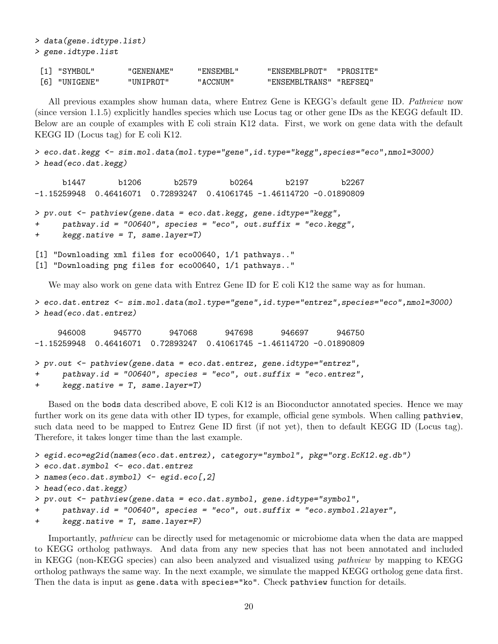[1] "SYMBOL" "GENENAME" "ENSEMBL" "ENSEMBLPROT" "PROSITE" [6] "UNIGENE" "UNIPROT" "ACCNUM" "ENSEMBLTRANS" "REFSEQ"

All previous examples show human data, where Entrez Gene is KEGG's default gene ID. Pathview now (since version 1.1.5) explicitly handles species which use Locus tag or other gene IDs as the KEGG default ID. Below are an couple of examples with E coli strain K12 data. First, we work on gene data with the default KEGG ID (Locus tag) for E coli K12.

```
> eco.dat.kegg <- sim.mol.data(mol.type="gene",id.type="kegg",species="eco",nmol=3000)
> head(eco.dat.kegg)
```
b1447 b1206 b2579 b0264 b2197 b2267 -1.15259948 0.46416071 0.72893247 0.41061745 -1.46114720 -0.01890809

```
> pv.out <- pathview(gene.data = eco.dat.kegg, gene.idtype="kegg",
+ pathway.id = "00640", species = "eco", out.suffix = "eco.kegg",
+ kegg.native = T, same.layer=T)
```

```
[1] "Downloading xml files for eco00640, 1/1 pathways.."
[1] "Downloading png files for eco00640, 1/1 pathways.."
```
> data(gene.idtype.list)

> gene.idtype.list

We may also work on gene data with Entrez Gene ID for E coli K12 the same way as for human.

```
> eco.dat.entrez <- sim.mol.data(mol.type="gene",id.type="entrez",species="eco",nmol=3000)
> head(eco.dat.entrez)
```
946008 945770 947068 947698 946697 946750 -1.15259948 0.46416071 0.72893247 0.41061745 -1.46114720 -0.01890809

```
> pv.out <- pathview(gene.data = eco.dat.entrez, gene.idtype="entrez",
+ pathway.id = "00640", species = "eco", out.suffix = "eco.entrez",
+ kegg.native = T, same.layer=T)
```
Based on the bods data described above, E coli K12 is an Bioconductor annotated species. Hence we may further work on its gene data with other ID types, for example, official gene symbols. When calling pathview, such data need to be mapped to Entrez Gene ID first (if not yet), then to default KEGG ID (Locus tag). Therefore, it takes longer time than the last example.

```
> egid.eco=eg2id(names(eco.dat.entrez), category="symbol", pkg="org.EcK12.eg.db")
> eco.dat.symbol <- eco.dat.entrez
> names(eco.dat.symbol) <- egid.eco[,2]
> head(eco.dat.kegg)
> pv.out <- pathview(gene.data = eco.dat.symbol, gene.idtype="symbol",
     pathway.id = "00640", species = "eco", out.suffix = "eco.symbol.2layer",
```

```
+ kegg.native = T, same.layer=F)
```
Importantly, pathview can be directly used for metagenomic or microbiome data when the data are mapped to KEGG ortholog pathways. And data from any new species that has not been annotated and included in KEGG (non-KEGG species) can also been analyzed and visualized using pathview by mapping to KEGG ortholog pathways the same way. In the next example, we simulate the mapped KEGG ortholog gene data first. Then the data is input as gene.data with species="ko". Check pathview function for details.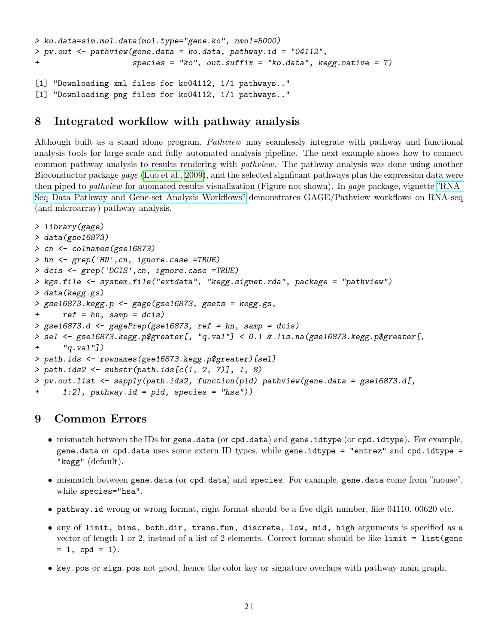```
> ko.data=sim.mol.data(mol.type="gene.ko", nmol=5000)
> pv.out \leq pathview(gene.data = ko.data, pathway.id = "04112",
+ species = "ko", out.suffix = "ko.data", kegg.native = T)
[1] "Downloading xml files for ko04112, 1/1 pathways.."
[1] "Downloading png files for ko04112, 1/1 pathways.."
```
## <span id="page-20-0"></span>8 Integrated workflow with pathway analysis

Although built as a stand alone program, Pathview may seamlessly integrate with pathway and functional analysis tools for large-scale and fully automated analysis pipeline. The next example shows how to connect common pathway analysis to results rendering with pathview. The pathway analysis was done using another Bioconductor package gage [\(Luo et al., 2009\)](#page-21-2), and the selected signficant pathways plus the expression data were then piped to *pathview* for auomated results visualization (Figure not shown). In *qaqe* package, vignette ["RNA-](http://bioconductor.org/packages/2.13/bioc/vignettes/gage/inst/doc/RNA-seqWorkflow.pdf)[Seq Data Pathway and Gene-set Analysis Workflows"](http://bioconductor.org/packages/2.13/bioc/vignettes/gage/inst/doc/RNA-seqWorkflow.pdf) demonstrates GAGE/Pathview workflows on RNA-seq (and microarray) pathway analysis.

```
> library(gage)
> data(gse16873)
> cn <- colnames(gse16873)
> hn <- grep('HN',cn, ignore.case =TRUE)
> dcis <- grep('DCIS',cn, ignore.case =TRUE)
> kgs.file <- system.file("extdata", "kegg.sigmet.rda", package = "pathview")
> data(kegg.gs)
> gse16873.kegg.p <- gage(gse16873, gsets = kegg.gs,
+ ref = hn, samp = dcis)
> gse16873.d <- gagePrep(gse16873, ref = hn, samp = dcis)
> sel <- gse16873.kegg.p$greater[, "q.val"] < 0.1 & !is.na(gse16873.kegg.p$greater[,
+ "q.val"])
> path.ids <- rownames(gse16873.kegg.p$greater)[sel]
> path.ids2 <- substr(path.ids[c(1, 2, 7)], 1, 8)
> pv.out.list <- sapply(path.ids2, function(pid) pathview(gene.data = gse16873.d[,
+ 1:2], pathway.id = pid, species = "hsa"))
```
## 9 Common Errors

- mismatch between the IDs for gene.data (or cpd.data) and gene.idtype (or cpd.idtype). For example, gene.data or cpd.data uses some extern ID types, while gene.idtype = "entrez" and cpd.idtype = "kegg" (default).
- mismatch between gene.data (or cpd.data) and species. For example, gene.data come from "mouse", while species="hsa".
- pathway.id wrong or wrong format, right format should be a five digit number, like 04110, 00620 etc.
- any of limit, bins, both.dir, trans.fun, discrete, low, mid, high arguments is specified as a vector of length 1 or 2, instead of a list of 2 elements. Correct format should be like limit = list(gene  $= 1$ , cpd  $= 1$ ).
- key.pos or sign.pos not good, hence the color key or signature overlaps with pathway main graph.